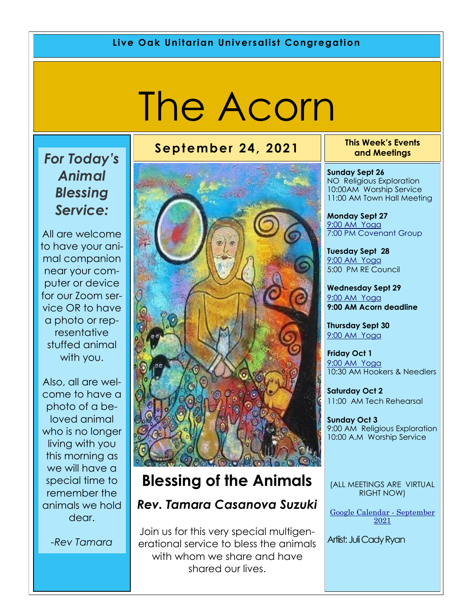# The Acorn

# *For Today's Animal Blessing Service:*

All are welcome to have your animal companion near your computer or device for our Zoom service OR to have a photo or representative stuffed animal with you.

Also, all are welcome to have a photo of a beloved animal who is no longer living with you this morning as we will have a special time to remember the animals we hold dear.

*-Rev Tamara*

# **Blessing of the Animals**

## *Rev. Tamara Casanova Suzuki*

Join us for this very special multigenerational service to bless the animals with whom we share and have shared our lives.

**September 24, 2021 This Week's Events and Meetings** 

> **Sunday Sept 26** NO Religious Exploration 10:00AM Worship Service 11:00 AM Town Hall Meeting

**Monday Sept 27** [9:00 AM Yoga](https://us02web.zoom.us/j/86278199291?pwd=WUh1MFJyVXNVOTIyQ1NmanJoSmNXQT09) 7:00 PM Covenant Group

**Tuesday Sept 28** [9:](https://us02web.zoom.us/meeting/register/tZ0pc-6qrTwqH9WUfmrB_nZu0MWqJ8CyS3Uw)[00 AM Yoga](https://us02web.zoom.us/j/86278199291?pwd=WUh1MFJyVXNVOTIyQ1NmanJoSmNXQT09)  5:00 PM RE Council

**Wednesday Sept 29** [9:](https://us02web.zoom.us/meeting/register/tZ0pc-6qrTwqH9WUfmrB_nZu0MWqJ8CyS3Uw)[00 AM Yoga](https://us02web.zoom.us/j/86278199291?pwd=WUh1MFJyVXNVOTIyQ1NmanJoSmNXQT09) **9:00 AM Acorn deadline**

**Thursday Sept 30** [9:](https://us02web.zoom.us/meeting/register/tZ0pc-6qrTwqH9WUfmrB_nZu0MWqJ8CyS3Uw)[00 AM Yoga](https://us02web.zoom.us/j/86278199291?pwd=WUh1MFJyVXNVOTIyQ1NmanJoSmNXQT09)

**Friday Oct 1** [9:](https://us02web.zoom.us/meeting/register/tZ0pc-6qrTwqH9WUfmrB_nZu0MWqJ8CyS3Uw)[00 AM Yoga](https://us02web.zoom.us/j/86278199291?pwd=WUh1MFJyVXNVOTIyQ1NmanJoSmNXQT09) 10:30 AM Hookers & Needlers

**Saturday Oct 2** 11:00 AM Tech Rehearsal

**Sunday Oct 3** 9:00 AM Religious Exploration 10:00 A.M Worship Service

(ALL MEETINGS ARE VIRTUAL RIGHT NOW)

[Google Calendar -](https://calendar.google.com/calendar/u/1/r/month) September [2021](https://calendar.google.com/calendar/u/1/r/month) 

Artiist: Juli Cady Ryan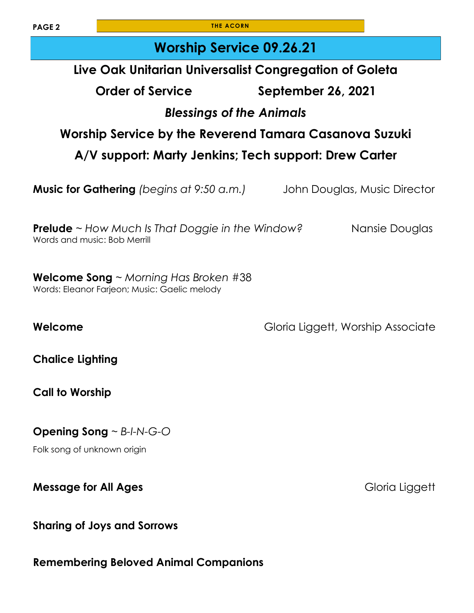**PAGE 2 THE ACORN** 

| <b>Worship Service 09.26.21</b>                                                                   |                                   |
|---------------------------------------------------------------------------------------------------|-----------------------------------|
| Live Oak Unitarian Universalist Congregation of Goleta                                            |                                   |
| <b>Order of Service</b>                                                                           | September 26, 2021                |
| <b>Blessings of the Animals</b>                                                                   |                                   |
| Worship Service by the Reverend Tamara Casanova Suzuki                                            |                                   |
| A/V support: Marty Jenkins; Tech support: Drew Carter                                             |                                   |
| <b>Music for Gathering</b> (begins at 9:50 a.m.)                                                  | John Douglas, Music Director      |
| <b>Prelude</b> ~ How Much Is That Doggie in the Window?<br>Words and music: Bob Merrill           | Nansie Douglas                    |
| <b>Welcome Song</b> $\sim$ Morning Has Broken #38<br>Words: Eleanor Farjeon; Music: Gaelic melody |                                   |
| Welcome                                                                                           | Gloria Liggett, Worship Associate |
| <b>Chalice Lighting</b>                                                                           |                                   |
| <b>Call to Worship</b>                                                                            |                                   |
| <b>Opening Song</b> $\sim$ B-I-N-G-O<br>Folk song of unknown origin                               |                                   |
| <b>Message for All Ages</b>                                                                       | Gloria Liggett                    |
| <b>Sharing of Joys and Sorrows</b>                                                                |                                   |

**Remembering Beloved Animal Companions**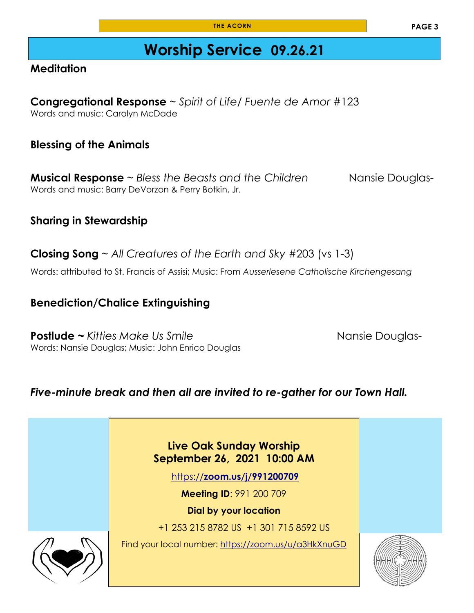# **Worship Service 09.26.21**

#### **Meditation**

**Congregational Response** ~ *Spirit of Life/ Fuente de Amor* #123 Words and music: Carolyn McDade

#### **Blessing of the Animals**

**Musical Response** ~ *Bless the Beasts and the Children* Nansie Douglas-Words and music: Barry DeVorzon & Perry Botkin, Jr.

#### **Sharing in Stewardship**

**Closing Song** ~ *All Creatures of the Earth and Sky* #203 (vs 1-3)

Words: attributed to St. Francis of Assisi; Music: From *Ausserlesene Catholische Kirchengesang*

#### **Benediction/Chalice Extinguishing**

**Postlude ~** *Kitties Make Us Smile* Nansie Douglas-Words: Nansie Douglas; Music: John Enrico Douglas

#### *Five-minute break and then all are invited to re-gather for our Town Hall.*

**Live Oak Sunday Worship September 26, 2021 10:00 AM**

https://**[zoom.us/j/991200709](https://zoom.us/j/991200709)**

**Meeting ID**: 991 200 709

**Dial by your location** 

+1 253 215 8782 US +1 301 715 8592 US

Find your local number: <https://zoom.us/u/a3HkXnuGD>



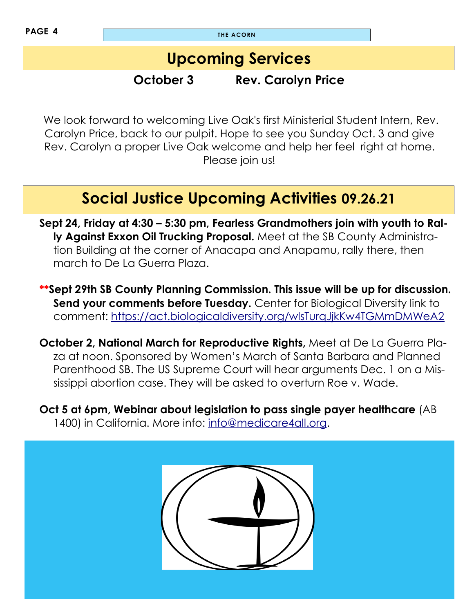**PAGE 4 THE ACORN** 

# **Upcoming Services**

# **October 3 Rev. Carolyn Price**

We look forward to welcoming Live Oak's first Ministerial Student Intern, Rev. Carolyn Price, back to our pulpit. Hope to see you Sunday Oct. 3 and give Rev. Carolyn a proper Live Oak welcome and help her feel right at home. Please join us!

# **Social Justice Upcoming Activities 09.26.21**

**Sept 24, Friday at 4:30 – 5:30 pm, Fearless Grandmothers join with youth to Rally Against Exxon Oil Trucking Proposal.** Meet at the SB County Administration Building at the corner of Anacapa and Anapamu, rally there, then march to De La Guerra Plaza.

**\*\*Sept 29th SB County Planning Commission. This issue will be up for discussion. Send your comments before Tuesday.** Center for Biological Diversity link to comment:<https://act.biologicaldiversity.org/wlsTurqJjkKw4TGMmDMWeA2>

**October 2, National March for Reproductive Rights,** Meet at De La Guerra Plaza at noon. Sponsored by Women's March of Santa Barbara and Planned Parenthood SB. The US Supreme Court will hear arguments Dec. 1 on a Mississippi abortion case. They will be asked to overturn Roe v. Wade.

**Oct 5 at 6pm, Webinar about legislation to pass single payer healthcare** (AB 1400) in California. More info: [info@medicare4all.org.](mailto:info@medicare4all.org)

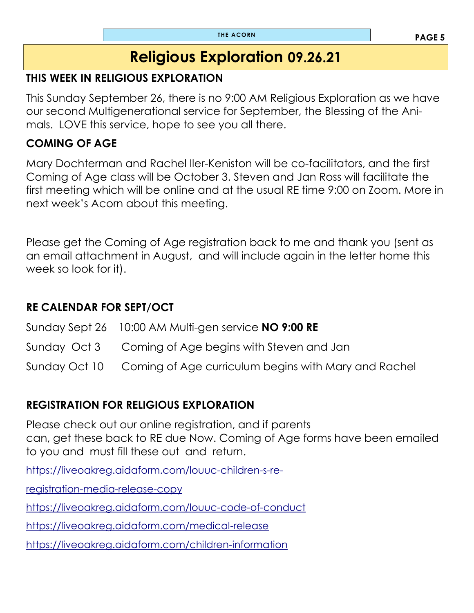# **Religious Exploration 09.26.21**

#### **THIS WEEK IN RELIGIOUS EXPLORATION**

This Sunday September 26, there is no 9:00 AM Religious Exploration as we have our second Multigenerational service for September, the Blessing of the Animals. LOVE this service, hope to see you all there.

#### **COMING OF AGE**

Mary Dochterman and Rachel Iler-Keniston will be co-facilitators, and the first Coming of Age class will be October 3. Steven and Jan Ross will facilitate the first meeting which will be online and at the usual RE time 9:00 on Zoom. More in next week's Acorn about this meeting.

Please get the Coming of Age registration back to me and thank you (sent as an email attachment in August, and will include again in the letter home this week so look for it).

## **RE CALENDAR FOR SEPT/OCT**

Sunday Sept 26 10:00 AM Multi-gen service **NO 9:00 RE** Sunday Oct 3 Coming of Age begins with Steven and Jan Sunday Oct 10 Coming of Age curriculum begins with Mary and Rachel

## **REGISTRATION FOR RELIGIOUS EXPLORATION**

Please check out our online registration, and if parents can, get these back to RE due Now. Coming of Age forms have been emailed to you and must fill these out and return.

[https://liveoakreg.aidaform.com/louuc-children-s-re-](https://liveoakreg.aidaform.com/louuc-children-s-re-registration-media-release-copy)

[registration-media-release-copy](https://liveoakreg.aidaform.com/louuc-children-s-re-registration-media-release-copy)

<https://liveoakreg.aidaform.com/louuc-code-of-conduct>

<https://liveoakreg.aidaform.com/medical-release>

<https://liveoakreg.aidaform.com/children-information>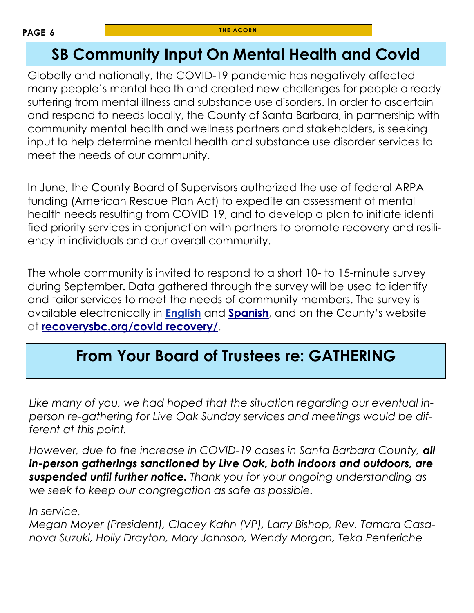# **SB Community Input On Mental Health and Covid**

Globally and nationally, the COVID-19 pandemic has negatively affected many people's mental health and created new challenges for people already suffering from mental illness and substance use disorders. In order to ascertain and respond to needs locally, the County of Santa Barbara, in partnership with community mental health and wellness partners and stakeholders, is seeking input to help determine mental health and substance use disorder services to meet the needs of our community.

In June, the County Board of Supervisors authorized the use of federal ARPA funding (American Rescue Plan Act) to expedite an assessment of mental health needs resulting from COVID-19, and to develop a plan to initiate identified priority services in conjunction with partners to promote recovery and resiliency in individuals and our overall community.

The whole community is invited to respond to a short 10- to 15-minute survey during September. Data gathered through the survey will be used to identify and tailor services to meet the needs of community members. The survey is available electronically in **[English](https://t.e2ma.net/click/oizkkd/cxmrgtm/oqx40l)** and **[Spanish](https://t.e2ma.net/click/oizkkd/cxmrgtm/4iy40l)**, and on the County's website at **[recoverysbc.org/covid recovery/](https://t.e2ma.net/click/oizkkd/cxmrgtm/kbz40l)**.

# **From Your Board of Trustees re: GATHERING**

*Like many of you, we had hoped that the situation regarding our eventual inperson re-gathering for Live Oak Sunday services and meetings would be different at this point.*

*However, due to the increase in COVID-19 cases in Santa Barbara County, all in-person gatherings sanctioned by Live Oak, both indoors and outdoors, are suspended until further notice. Thank you for your ongoing understanding as we seek to keep our congregation as safe as possible.*

*In service,*

*Megan Moyer (President), Clacey Kahn (VP), Larry Bishop, Rev. Tamara Casanova Suzuki, Holly Drayton, Mary Johnson, Wendy Morgan, Teka Penteriche*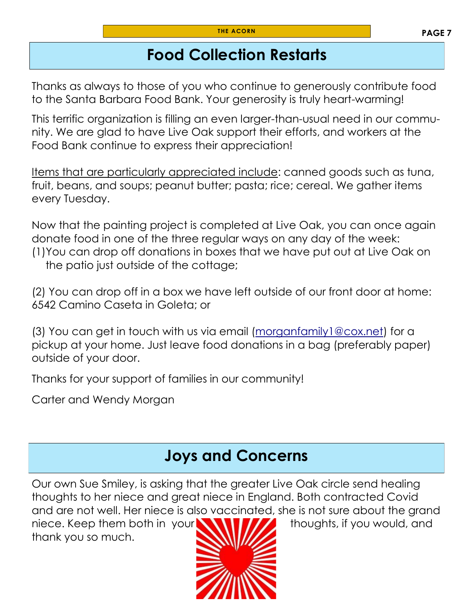# **Food Collection Restarts**

Thanks as always to those of you who continue to generously contribute food to the Santa Barbara Food Bank. Your generosity is truly heart-warming!

This terrific organization is filling an even larger-than-usual need in our community. We are glad to have Live Oak support their efforts, and workers at the Food Bank continue to express their appreciation!

Items that are particularly appreciated include: canned goods such as tuna, fruit, beans, and soups; peanut butter; pasta; rice; cereal. We gather items every Tuesday.

Now that the painting project is completed at Live Oak, you can once again donate food in one of the three regular ways on any day of the week: (1)You can drop off donations in boxes that we have put out at Live Oak on the patio just outside of the cottage;

(2) You can drop off in a box we have left outside of our front door at home: 6542 Camino Caseta in Goleta; or

(3) You can get in touch with us via email ([morganfamily1@cox.net\)](mailto:morganfamily1@cox.net) for a pickup at your home. Just leave food donations in a bag (preferably paper) outside of your door.

Thanks for your support of families in our community!

Carter and Wendy Morgan

# **Joys and Concerns**

Our own Sue Smiley, is asking that the greater Live Oak circle send healing thoughts to her niece and great niece in England. Both contracted Covid and are not well. Her niece is also vaccinated, she is not sure about the grand

niece. Keep them both in your **NAMI ALCO** thoughts, if you would, and thank you so much.